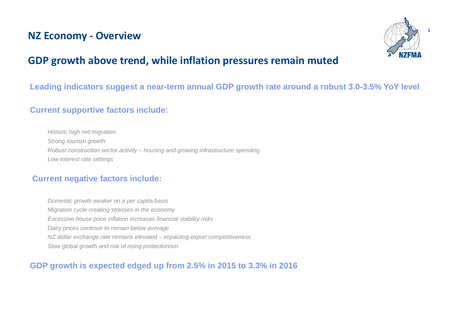## **NZ Economy - Overview**



**1**

# **GDP growth above trend, while inflation pressures remain muted**

## **Leading indicators suggest a near-term annual GDP growth rate around a robust 3.0-3.5% YoY level**

## **Current supportive factors include:**

*Historic high net migration Strong tourism growth Robust construction sector activity – housing and growing infrastructure spending Low interest rate settings*

## **Current negative factors include:**

*Domestic growth weaker on a per capita basis Migration cycle creating stresses in the economy Excessive house price inflation increases financial stability risks Dairy prices continue to remain below average NZ dollar exchange rate remains elevated – impacting export competitiveness Slow global growth and risk of rising protectionism*

## **GDP growth is expected edged up from 2.5% in 2015 to 3.3% in 2016**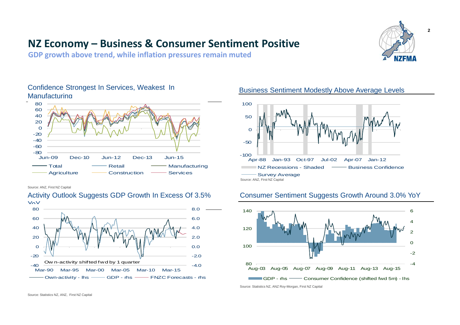# **NZ Economy – Business & Consumer Sentiment Positive**

**GDP growth above trend, while inflation pressures remain muted** 



## Confidence Strongest In Services, Weakest In Manufacturing



Source: ANZ, First NZ Capital



#### Activity Outlook Suggests GDP Growth In Excess Of 3.5% YoY

Business Sentiment Modestly Above Average Levels



### Consumer Sentiment Suggests Growth Around 3.0% YoY



Source: Statistics NZ, ANZ Roy-Morgan, First NZ Capital

Source: Statistics NZ, ANZ, First NZ Capital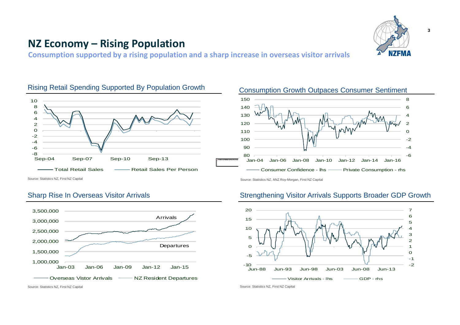

## **NZ Economy – Rising Population**

**Consumption supported by a rising population and a sharp increase in overseas visitor arrivals** 

#### 2 4 6 8 10

Rising Retail Spending Supported By Population Growth

#### -8<br>Sep-04 -6 -4 -2  $\Omega$ Sep-04 Sep-07 Sep-10 Sep-13 - Total Retail Sales (Alles Retail Sales Per Person

Source: Statistics NZ, First NZ Capital

### Sharp Rise In Overseas Visitor Arrivals



#### Consumption Growth Outpaces Consumer Sentiment 8 130 140 150



Source: Statistics NZ, ANZ Roy-Morgan, First NZ Capital

### Strengthening Visitor Arrivals Supports Broader GDP Growth



Source: Statistics NZ, First NZ Capital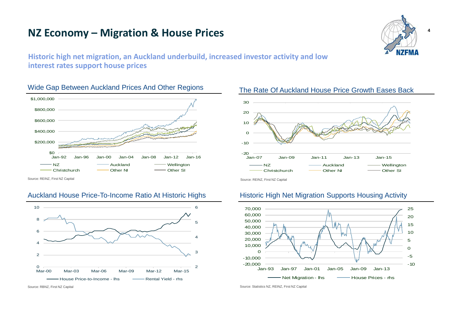## **NZ Economy – Migration & House Prices**



**4**

**Historic high net migration, an Auckland underbuild, increased investor activity and low interest rates support house prices** 

### Wide Gap Between Auckland Prices And Other Regions





#### The Rate Of Auckland House Price Growth Eases Back

Source: REINZ, First NZ Capital

#### Auckland House Price-To-Income Ratio At Historic Highs



#### Historic High Net Migration Supports Housing Activity



Source: Statistics NZ, REINZ, First NZ Capital

Source: REINZ, First NZ Capital

Source: RBNZ, First NZ Capital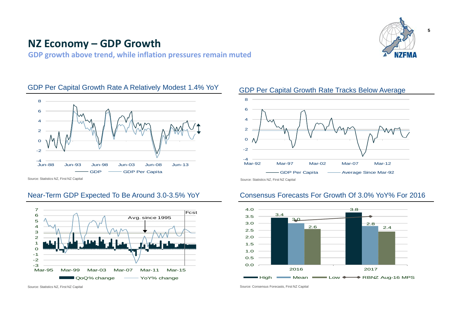# **NZ Economy – GDP Growth**

**GDP growth above trend, while inflation pressures remain muted**



**5**

#### GDP Per Capital Growth Rate A Relatively Modest 1.4% YoY



Source: Statistics NZ, First NZ Capital

#### Near-Term GDP Expected To Be Around 3.0-3.5% YoY



Source: Statistics NZ, First NZ Capital





### Consensus Forecasts For Growth Of 3.0% YoY% For 2016



Source: Consensus Forecasts, First NZ Capital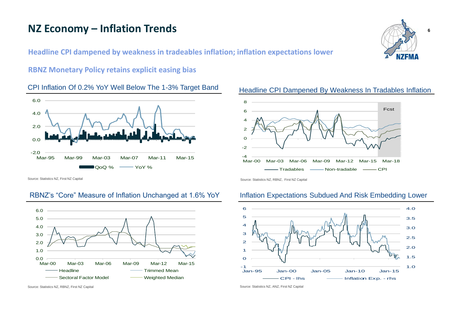# **NZ Economy – Inflation Trends**

**Headline CPI dampened by weakness in tradeables inflation; inflation expectations lower**

### **RBNZ Monetary Policy retains explicit easing bias**

#### CPI Inflation Of 0.2% YoY Well Below The 1-3% Target Band





Source: Statistics NZ, First NZ Capital

### RBNZ's "Core" Measure of Inflation Unchanged at 1.6% YoY



Source: Statistics NZ, RBNZ, First NZ Capital

#### Inflation Expectations Subdued And Risk Embedding Lower



Source: Statistics NZ, ANZ, First NZ Capital

#### Headline CPI Dampened By Weakness In Tradables Inflation



**6**

Source: Statistics NZ, RBNZ, First NZ Capital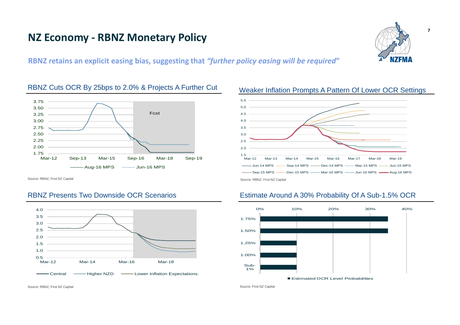# **NZ Economy - RBNZ Monetary Policy**



**RBNZ retains an explicit easing bias, suggesting that** *"further policy easing will be required***"**



#### RBNZ Cuts OCR By 25bps to 2.0% & Projects A Further Cut

Source: RBNZ, First NZ Capital

#### RBNZ Presents Two Downside OCR Scenarios





### Estimate Around A 30% Probability Of A Sub-1.5% OCR



Source: First NZ Capital

Source: RBNZ, First NZ Capital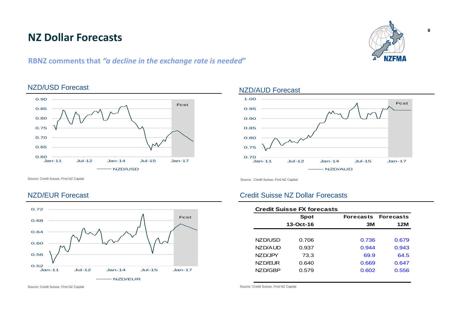# **NZ Dollar Forecasts**

## **RBNZ comments that** *"a decline in the exchange rate is needed***"**



### NZD/USD Forecast



#### NZD/AUD Forecast

Source: Credit Suisse, First NZ Capital



Source: Credit Suisse, First NZ Capital

#### NZD/EUR Forecast



### Credit Suisse NZ Dollar Forecasts

|         | <b>Credit Suisse FX forecasts</b> |                            |       |
|---------|-----------------------------------|----------------------------|-------|
|         | Spot                              | <b>Forecasts Forecasts</b> |       |
|         | 13-Oct-16                         | 3M                         | 12M   |
|         |                                   |                            |       |
| NZD/USD | 0.706                             | 0.736                      | 0.679 |
| NZD/AUD | 0.937                             | 0.944                      | 0.943 |
| NZD/JPY | 73.3                              | 69.9                       | 64.5  |
| NZD/EUR | 0.640                             | 0.669                      | 0.647 |
| NZD/GBP | 0.579                             | 0.602                      | 0.556 |
|         |                                   |                            |       |

Source: Credit Suisse, First NZ Capital

Source: Credit Suisse, First NZ Capital

**8**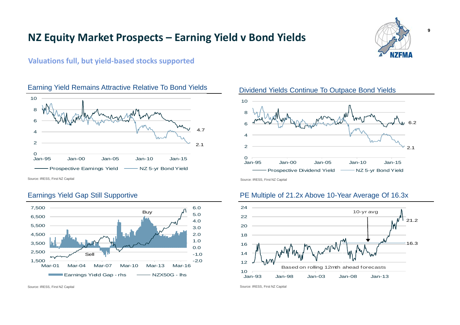## **NZ Equity Market Prospects – Earning Yield v Bond Yields**



**Valuations full, but yield-based stocks supported**



#### Earning Yield Remains Attractive Relative To Bond Yields

Source: IRESS, First NZ Capital

### Earnings Yield Gap Still Supportive



Source: IRESS, First NZ Capital



### PE Multiple of 21.2x Above 10-Year Average Of 16.3x



Source: IRESS, First NZ Capital

### Dividend Yields Continue To Outpace Bond Yields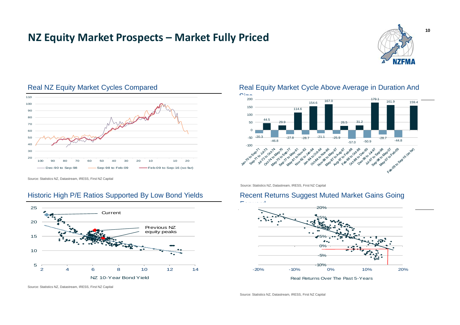# **NZ Equity Market Prospects – Market Fully Priced**





#### Real NZ Equity Market Cycles Compared

Source: Statistics NZ, Datastream, IRESS, First NZ Capital

### Historic High P/E Ratios Supported By Low Bond Yields



Real Equity Market Cycle Above Average in Duration And



Source: Statistics NZ, Datastream, IRESS, First NZ Capital

## Recent Returns Suggest Muted Market Gains Going



Real Returns Over The Past 5-Years

Source: Statistics NZ, Datastream, IRESS, First NZ Capital

Source: Statistics NZ, Datastream, IRESS, First NZ Capital

**10**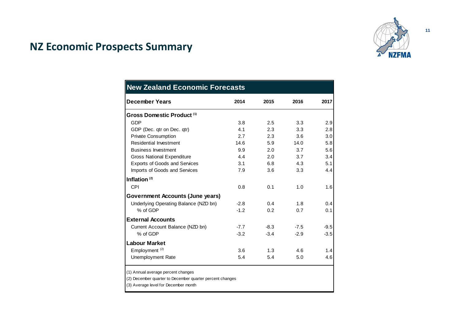

# **NZ Economic Prospects Summary**

| <b>New Zealand Economic Forecasts</b>                                                          |        |        |        |        |  |  |
|------------------------------------------------------------------------------------------------|--------|--------|--------|--------|--|--|
| <b>December Years</b>                                                                          | 2014   | 2015   | 2016   | 2017   |  |  |
| Gross Domestic Product <sup>(1)</sup>                                                          |        |        |        |        |  |  |
| <b>GDP</b>                                                                                     | 3.8    | 2.5    | 3.3    | 2.9    |  |  |
| GDP (Dec. qtr on Dec. qtr)                                                                     | 4.1    | 2.3    | 3.3    | 2.8    |  |  |
| <b>Private Consumption</b>                                                                     | 2.7    | 2.3    | 3.6    | 3.0    |  |  |
| Residential Investment                                                                         | 14.6   | 5.9    | 14.0   | 5.8    |  |  |
| <b>Business Investment</b>                                                                     | 9.9    | 2.0    | 3.7    | 5.6    |  |  |
| <b>Gross National Expenditure</b>                                                              | 4.4    | 2.0    | 3.7    | 3.4    |  |  |
| <b>Exports of Goods and Services</b>                                                           | 3.1    | 6.8    | 4.3    | 5.1    |  |  |
| Imports of Goods and Services                                                                  | 7.9    | 3.6    | 3.3    | 4.4    |  |  |
| Inflation $(2)$                                                                                |        |        |        |        |  |  |
| CPI                                                                                            | 0.8    | 0.1    | 1.0    | 1.6    |  |  |
| Government Accounts (June years)                                                               |        |        |        |        |  |  |
| Underlying Operating Balance (NZD bn)                                                          | $-2.8$ | 0.4    | 1.8    | 0.4    |  |  |
| % of GDP                                                                                       | $-1.2$ | 0.2    | 0.7    | 0.1    |  |  |
| <b>External Accounts</b>                                                                       |        |        |        |        |  |  |
| Current Account Balance (NZD bn)                                                               | $-7.7$ | $-8.3$ | $-7.5$ | $-9.5$ |  |  |
| % of GDP                                                                                       | $-3.2$ | $-3.4$ | $-2.9$ | $-3.5$ |  |  |
| <b>Labour Market</b>                                                                           |        |        |        |        |  |  |
| Employment <sup>(2)</sup>                                                                      | 3.6    | 1.3    | 4.6    | 1.4    |  |  |
| <b>Unemployment Rate</b>                                                                       | 5.4    | 5.4    | 5.0    | 4.6    |  |  |
| (1) Annual average percent changes<br>(2) December quarter to December quarter percent changes |        |        |        |        |  |  |

(3) Average level for December month